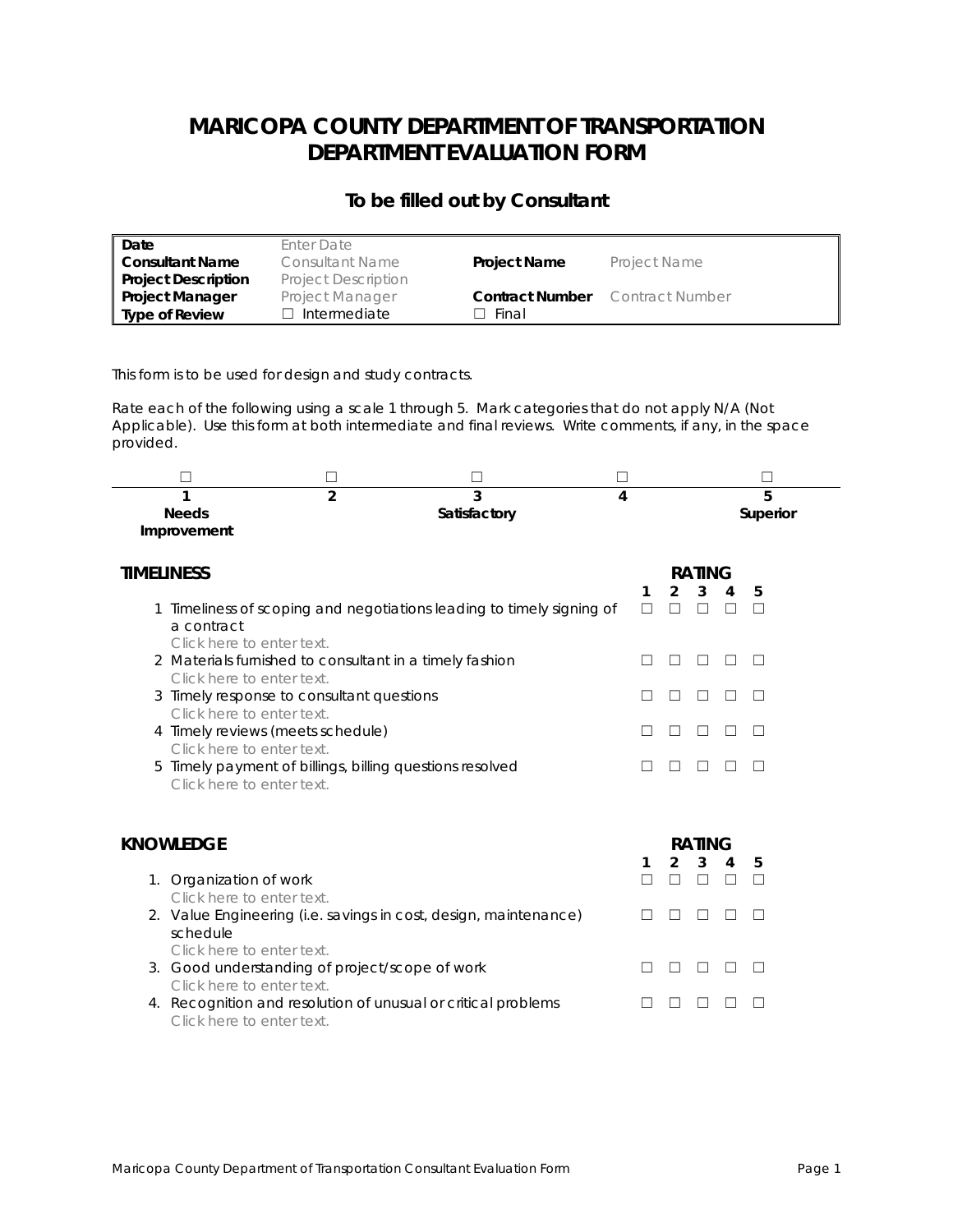# **MARICOPA COUNTY DEPARTMENT OF TRANSPORTATION DEPARTMENT EVALUATION FORM**

### *To be filled out by Consultant*

| Date                       | Enter Date                 |                        |                     |
|----------------------------|----------------------------|------------------------|---------------------|
| Consultant Name            | Consultant Name            | <b>Project Name</b>    | <b>Project Name</b> |
| <b>Project Description</b> | <b>Project Description</b> |                        |                     |
| <b>Project Manager</b>     | <b>Project Manager</b>     | <b>Contract Number</b> | Contract Number     |
| Type of Review             | $\Box$ Intermediate        | - Final                |                     |

This form is to be used for design and study contracts.

Rate each of the following using a scale 1 through 5. Mark categories that do not apply N/A (Not Applicable). Use this form at both intermediate and final reviews. Write comments, if any, in the space provided.

| <b>Needs</b><br>Improvement                                            | $\mathfrak{p}$ | 3<br>Satisfactory                                                   | 4 |  |   |   |   | 5<br>Superior |
|------------------------------------------------------------------------|----------------|---------------------------------------------------------------------|---|--|---|---|---|---------------|
| <b>TIMELINESS</b>                                                      |                |                                                                     |   |  |   |   |   |               |
| a contract<br>Click here to enter text.                                |                | Timeliness of scoping and negotiations leading to timely signing of |   |  | 2 | 3 | 4 | 5             |
| Click here to enter text.                                              |                | 2 Materials furnished to consultant in a timely fashion             |   |  |   |   |   |               |
| 3 Timely response to consultant questions<br>Click here to enter text. |                |                                                                     |   |  |   |   |   |               |
| 4 Timely reviews (meets schedule)<br>Click here to enter text.         |                |                                                                     |   |  |   |   |   |               |
|                                                                        |                | 5 Timely payment of billings, billing questions resolved            |   |  |   |   |   |               |

Click here to enter text.

| KNOWLEDGE |                                                                                               |  | <b>RATING</b> |    |   |   |  |  |  |
|-----------|-----------------------------------------------------------------------------------------------|--|---------------|----|---|---|--|--|--|
|           | 1. Organization of work                                                                       |  | $2^{\circ}$   | -3 | 4 | 5 |  |  |  |
|           | Click here to enter text.<br>2. Value Engineering (i.e. savings in cost, design, maintenance) |  |               |    |   |   |  |  |  |
|           | schedule<br>Click here to enter text.<br>3. Good understanding of project/scope of work       |  |               |    |   |   |  |  |  |
|           | Click here to enter text.<br>4. Recognition and resolution of unusual or critical problems    |  |               |    |   |   |  |  |  |
|           | Click here to enter text.                                                                     |  |               |    |   |   |  |  |  |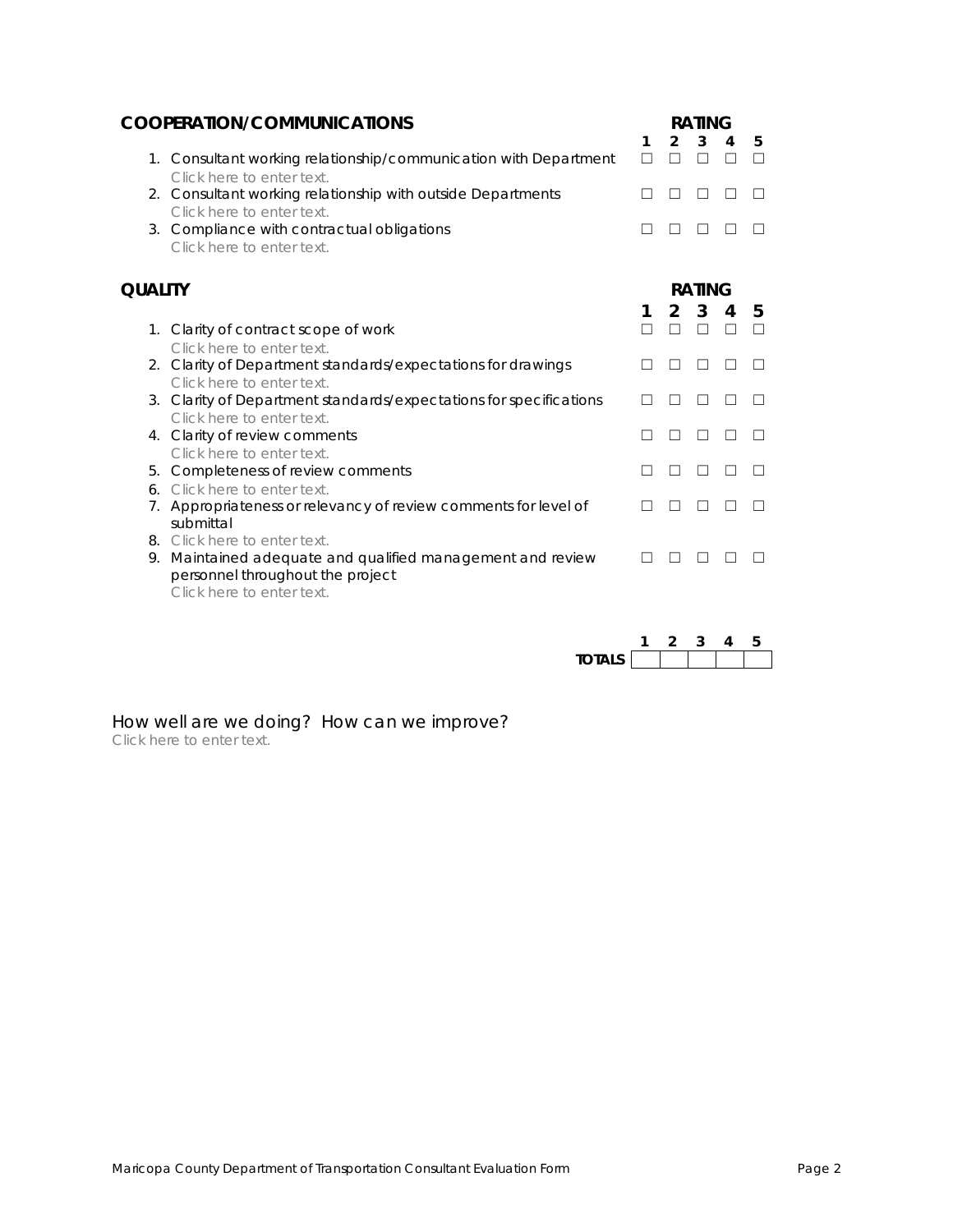| <b>COOPERATION/COMMUNICATIONS</b> |                                                                                                                                                       |        | <b>RATING</b>  |              |        |   |  |  |  |
|-----------------------------------|-------------------------------------------------------------------------------------------------------------------------------------------------------|--------|----------------|--------------|--------|---|--|--|--|
|                                   |                                                                                                                                                       | 1<br>П | $\mathfrak{p}$ | 3            | 4<br>ш | 5 |  |  |  |
|                                   | 1. Consultant working relationship/communication with Department<br>Click here to enter text.                                                         |        |                |              |        |   |  |  |  |
|                                   | 2. Consultant working relationship with outside Departments<br>Click here to enter text.                                                              |        |                |              |        |   |  |  |  |
|                                   | 3. Compliance with contractual obligations<br>Click here to enter text.                                                                               |        |                |              |        |   |  |  |  |
| <b>QUALITY</b>                    |                                                                                                                                                       |        | <b>RATING</b>  |              |        |   |  |  |  |
|                                   |                                                                                                                                                       | 1      | $\mathfrak{p}$ | $\mathbf{3}$ | 4      | 5 |  |  |  |
|                                   | 1. Clarity of contract scope of work                                                                                                                  |        |                |              | ш      |   |  |  |  |
|                                   | Click here to enter text.<br>2. Clarity of Department standards/expectations for drawings                                                             |        |                | H            |        |   |  |  |  |
|                                   | Click here to enter text.                                                                                                                             |        |                |              |        |   |  |  |  |
|                                   | 3. Clarity of Department standards/expectations for specifications<br>Click here to enter text.                                                       |        |                |              |        |   |  |  |  |
| 4.                                | Clarity of review comments                                                                                                                            |        |                | H            |        |   |  |  |  |
|                                   | Click here to enter text.                                                                                                                             |        |                |              |        |   |  |  |  |
| 5.<br>6.                          | Completeness of review comments<br>Click here to enter text.                                                                                          |        |                |              |        |   |  |  |  |
| 7.                                | Appropriateness or relevancy of review comments for level of<br>submittal                                                                             |        |                |              |        |   |  |  |  |
| 8.<br>9.                          | Click here to enter text.<br>Maintained adequate and qualified management and review<br>personnel throughout the project<br>Click here to enter text. |        |                |              |        |   |  |  |  |

| TOTAI S |  |  |  |
|---------|--|--|--|

How well are we doing? How can we improve? Click here to enter text.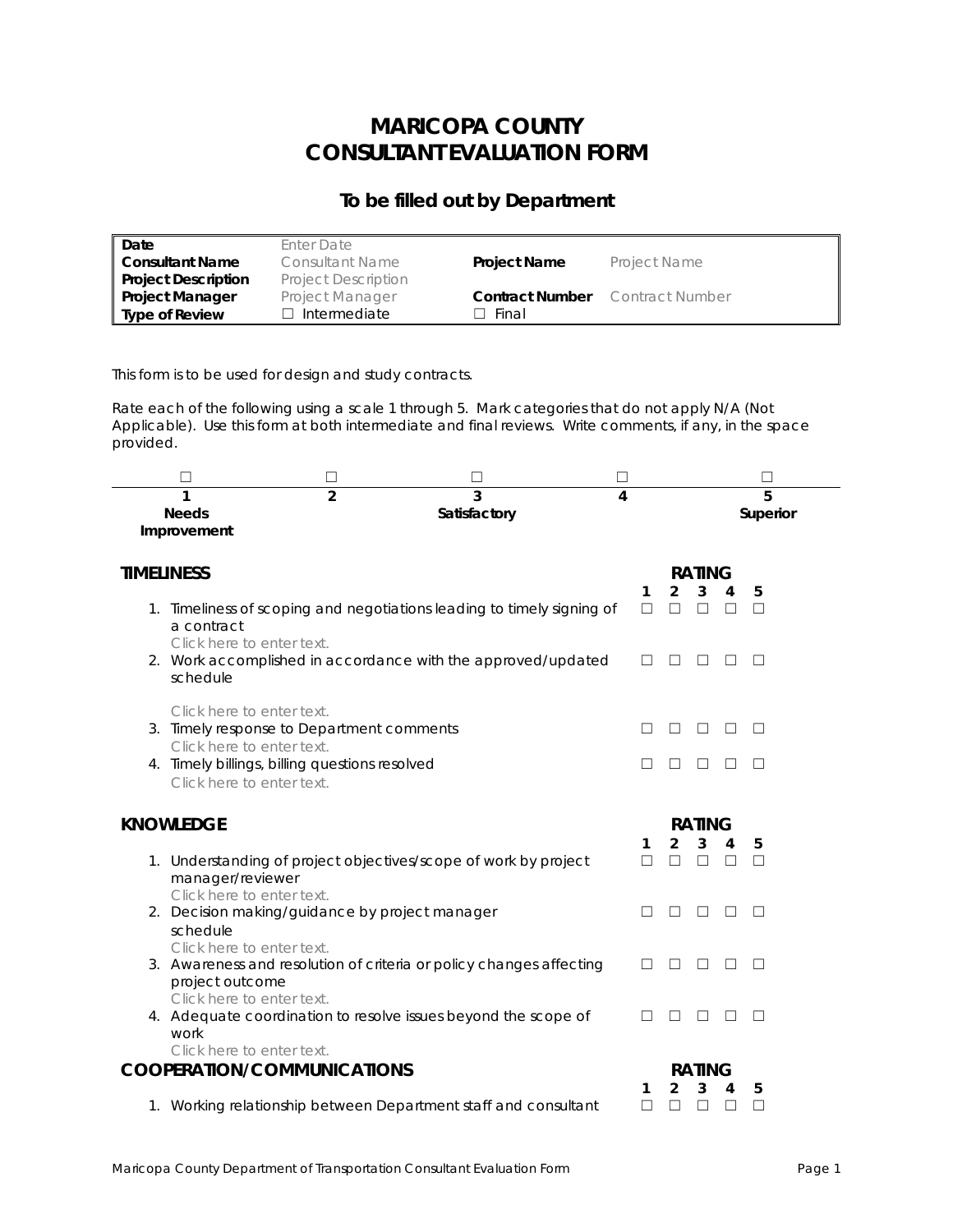# **MARICOPA COUNTY CONSULTANT EVALUATION FORM**

### *To be filled out by Department*

| Date                       | Enter Date                 |                        |                     |
|----------------------------|----------------------------|------------------------|---------------------|
| <b>Consultant Name</b>     | Consultant Name            | <b>Project Name</b>    | <b>Project Name</b> |
| <b>Project Description</b> | <b>Project Description</b> |                        |                     |
| <b>Project Manager</b>     | <b>Project Manager</b>     | <b>Contract Number</b> | Contract Number     |
| <b>Type of Review</b>      | $\Box$ Intermediate        | Final                  |                     |

This form is to be used for design and study contracts.

Rate each of the following using a scale 1 through 5. Mark categories that do not apply N/A (Not Applicable). Use this form at both intermediate and final reviews. Write comments, if any, in the space provided.

|                   |                                                | □              | $\Box$                                                                 |   |        |                |               |         |          |  |
|-------------------|------------------------------------------------|----------------|------------------------------------------------------------------------|---|--------|----------------|---------------|---------|----------|--|
| 1                 |                                                | $\overline{2}$ | 3                                                                      | 4 |        |                |               |         | 5        |  |
| <b>Needs</b>      |                                                |                | Satisfactory                                                           |   |        |                |               |         | Superior |  |
| Improvement       |                                                |                |                                                                        |   |        |                |               |         |          |  |
|                   |                                                |                |                                                                        |   |        |                |               |         |          |  |
| <b>TIMELINESS</b> |                                                |                |                                                                        |   |        |                | <b>RATING</b> |         |          |  |
|                   |                                                |                |                                                                        |   | 1      | $\overline{2}$ | 3             |         | 5        |  |
|                   |                                                |                | 1. Timeliness of scoping and negotiations leading to timely signing of |   | □      | $\Box$         | □             | □       | $\Box$   |  |
|                   | a contract                                     |                |                                                                        |   |        |                |               |         |          |  |
|                   | Click here to enter text.                      |                |                                                                        |   |        |                |               |         |          |  |
|                   | schedule                                       |                | 2. Work accomplished in accordance with the approved/updated           |   |        |                |               |         | $\Box$   |  |
|                   |                                                |                |                                                                        |   |        |                |               |         |          |  |
|                   | Click here to enter text.                      |                |                                                                        |   |        |                |               |         |          |  |
|                   | 3. Timely response to Department comments      |                |                                                                        |   |        |                | ш             | $\perp$ | $\Box$   |  |
|                   | Click here to enter text.                      |                |                                                                        |   |        |                |               |         |          |  |
|                   | 4. Timely billings, billing questions resolved |                |                                                                        |   |        |                | ш             | $\perp$ | $\Box$   |  |
|                   | Click here to enter text.                      |                |                                                                        |   |        |                |               |         |          |  |
|                   |                                                |                |                                                                        |   |        |                |               |         |          |  |
| <b>KNOWLEDGE</b>  |                                                |                |                                                                        |   |        |                | <b>RATING</b> |         |          |  |
|                   |                                                |                |                                                                        |   | 1      | $\overline{2}$ | 3             | 4       | 5        |  |
|                   |                                                |                | 1. Understanding of project objectives/scope of work by project        |   | $\Box$ | $\Box$         | $\Box$        | $\Box$  | $\Box$   |  |
|                   | manager/reviewer                               |                |                                                                        |   |        |                |               |         |          |  |
|                   | Click here to enter text.                      |                |                                                                        |   |        |                |               |         |          |  |
|                   | 2. Decision making/guidance by project manager |                |                                                                        |   |        |                | ш             | $\perp$ | $\Box$   |  |
|                   | schedule                                       |                |                                                                        |   |        |                |               |         |          |  |
|                   | Click here to enter text.                      |                |                                                                        |   |        |                |               |         |          |  |
|                   |                                                |                | 3. Awareness and resolution of criteria or policy changes affecting    |   |        | □              | $\Box$        | □       | $\Box$   |  |
|                   | project outcome<br>Click here to enter text.   |                |                                                                        |   |        |                |               |         |          |  |
|                   |                                                |                | 4. Adequate coordination to resolve issues beyond the scope of         |   |        |                | ш             | $\perp$ | $\Box$   |  |
|                   | work                                           |                |                                                                        |   |        |                |               |         |          |  |
|                   | Click here to enter text.                      |                |                                                                        |   |        |                |               |         |          |  |
|                   | <b>COOPERATION/COMMUNICATIONS</b>              |                |                                                                        |   |        |                | <b>RATING</b> |         |          |  |
|                   |                                                |                |                                                                        |   | 1      | 2              | 3             | 4       | 5        |  |
|                   |                                                |                | 1. Working relationship between Department staff and consultant        |   | П      |                | П             | П       | □        |  |